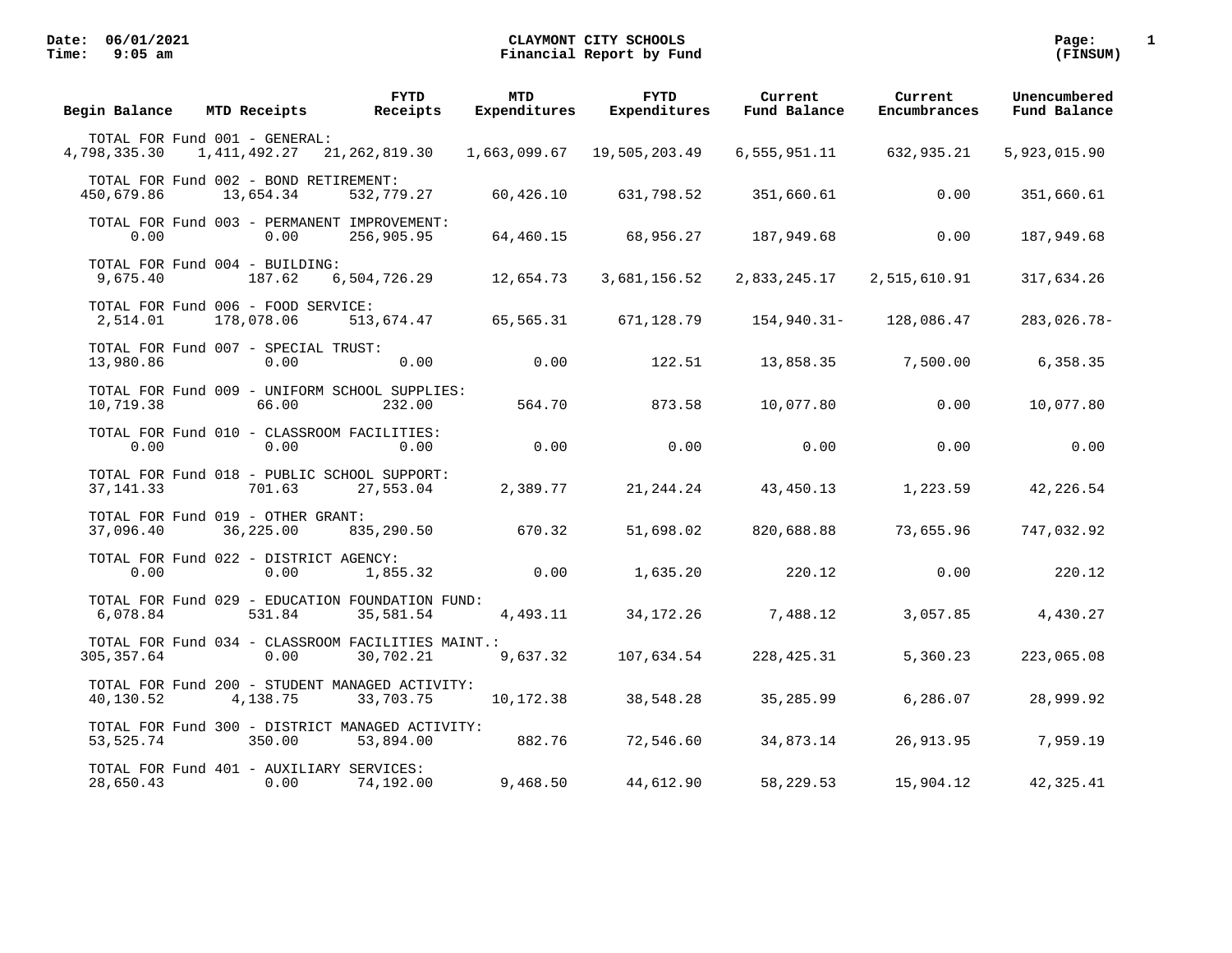| Begin Balance                                         | MTD Receipts | <b>FYTD</b><br>Receipts                                        | <b>MTD</b><br>Expenditures | <b>FYTD</b><br>Expenditures | Current<br>Fund Balance | Current<br>Encumbrances | Unencumbered<br>Fund Balance |
|-------------------------------------------------------|--------------|----------------------------------------------------------------|----------------------------|-----------------------------|-------------------------|-------------------------|------------------------------|
| TOTAL FOR Fund 001 - GENERAL:<br>4,798,335.30         | 1,411,492.27 | 21, 262, 819.30                                                | 1,663,099.67               | 19,505,203.49               | 6,555,951.11            | 632,935.21              | 5,923,015.90                 |
| TOTAL FOR Fund 002 - BOND RETIREMENT:<br>450,679.86   | 13,654.34    | 532,779.27                                                     | 60,426.10                  | 631,798.52                  | 351,660.61              | 0.00                    | 351,660.61                   |
| 0.00                                                  | 0.00         | TOTAL FOR Fund 003 - PERMANENT IMPROVEMENT:<br>256,905.95      | 64,460.15                  | 68,956.27                   | 187,949.68              | 0.00                    | 187,949.68                   |
| TOTAL FOR Fund 004 - BUILDING:<br>9,675.40            | 187.62       | 6,504,726.29                                                   | 12,654.73                  | 3,681,156.52                | 2,833,245.17            | 2,515,610.91            | 317,634.26                   |
| TOTAL FOR Fund 006 - FOOD SERVICE:<br>2,514.01        | 178,078.06   | 513,674.47                                                     | 65,565.31                  | 671,128.79                  | 154,940.31-             | 128,086.47              | 283,026.78-                  |
| TOTAL FOR Fund 007 - SPECIAL TRUST:<br>13,980.86      | 0.00         | 0.00                                                           | 0.00                       | 122.51                      | 13,858.35               | 7,500.00                | 6,358.35                     |
| 10,719.38                                             | 66.00        | TOTAL FOR Fund 009 - UNIFORM SCHOOL SUPPLIES:<br>232.00        | 564.70                     | 873.58                      | 10,077.80               | 0.00                    | 10,077.80                    |
| 0.00                                                  | 0.00         | TOTAL FOR Fund 010 - CLASSROOM FACILITIES:<br>0.00             | 0.00                       | 0.00                        | 0.00                    | 0.00                    | 0.00                         |
| 37, 141.33                                            | 701.63       | TOTAL FOR Fund 018 - PUBLIC SCHOOL SUPPORT:<br>27,553.04       | 2,389.77                   | 21, 244. 24                 | 43,450.13               | 1,223.59                | 42,226.54                    |
| TOTAL FOR Fund 019 - OTHER GRANT:<br>37,096.40        | 36,225.00    | 835,290.50                                                     | 670.32                     | 51,698.02                   | 820,688.88              | 73,655.96               | 747,032.92                   |
| TOTAL FOR Fund 022 - DISTRICT AGENCY:<br>0.00         | 0.00         | 1,855.32                                                       | 0.00                       | 1,635.20                    | 220.12                  | 0.00                    | 220.12                       |
| 6,078.84                                              | 531.84       | TOTAL FOR Fund 029 - EDUCATION FOUNDATION FUND:<br>35,581.54   | 4,493.11                   | 34,172.26                   | 7,488.12                | 3,057.85                | 4,430.27                     |
| 305, 357.64                                           | 0.00         | TOTAL FOR Fund 034 - CLASSROOM FACILITIES MAINT.:<br>30,702.21 | 9,637.32                   | 107,634.54                  | 228, 425.31             | 5,360.23                | 223,065.08                   |
| 40,130.52                                             | 4,138.75     | TOTAL FOR Fund 200 - STUDENT MANAGED ACTIVITY:<br>33,703.75    | 10,172.38                  | 38,548.28                   | 35,285.99               | 6,286.07                | 28,999.92                    |
| 53, 525. 74                                           | 350.00       | TOTAL FOR Fund 300 - DISTRICT MANAGED ACTIVITY:<br>53,894.00   | 882.76                     | 72,546.60                   | 34,873.14               | 26,913.95               | 7,959.19                     |
| TOTAL FOR Fund 401 - AUXILIARY SERVICES:<br>28,650.43 | 0.00         | 74,192.00                                                      | 9,468.50                   | 44,612.90                   | 58,229.53               | 15,904.12               | 42, 325.41                   |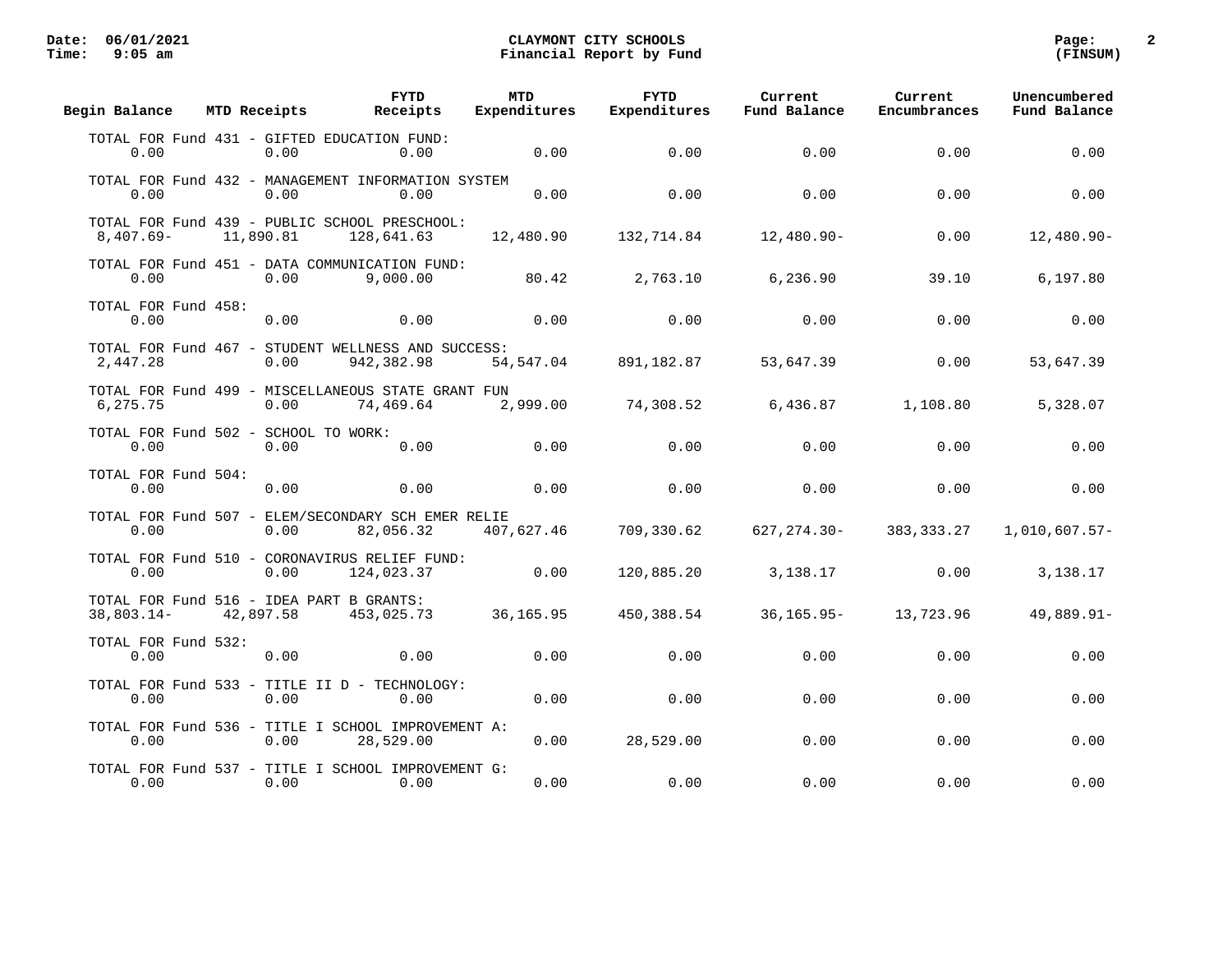| Begin Balance               | MTD Receipts                                          | <b>FYTD</b><br>Receipts                                          | <b>MTD</b><br>Expenditures | <b>FYTD</b><br>Expenditures | Current<br>Fund Balance | Current<br>Encumbrances | Unencumbered<br>Fund Balance |
|-----------------------------|-------------------------------------------------------|------------------------------------------------------------------|----------------------------|-----------------------------|-------------------------|-------------------------|------------------------------|
| 0.00                        | TOTAL FOR Fund 431 - GIFTED EDUCATION FUND:<br>0.00   | 0.00                                                             | 0.00                       | 0.00                        | 0.00                    | 0.00                    | 0.00                         |
| 0.00                        | 0.00                                                  | TOTAL FOR Fund 432 - MANAGEMENT INFORMATION SYSTEM<br>0.00       | 0.00                       | 0.00                        | 0.00                    | 0.00                    | 0.00                         |
| $8,407.69-$                 | 11,890.81                                             | TOTAL FOR Fund 439 - PUBLIC SCHOOL PRESCHOOL:<br>128,641.63      | 12,480.90                  | 132,714.84                  | $12,480.90-$            | 0.00                    | $12,480.90-$                 |
| 0.00                        | 0.00                                                  | TOTAL FOR Fund 451 - DATA COMMUNICATION FUND:<br>9,000.00        | 80.42                      | 2,763.10                    | 6,236.90                | 39.10                   | 6,197.80                     |
| TOTAL FOR Fund 458:<br>0.00 | 0.00                                                  | 0.00                                                             | 0.00                       | 0.00                        | 0.00                    | 0.00                    | 0.00                         |
| 2,447.28                    | 0.00                                                  | TOTAL FOR Fund 467 - STUDENT WELLNESS AND SUCCESS:<br>942,382.98 | 54,547.04                  | 891,182.87                  | 53,647.39               | 0.00                    | 53,647.39                    |
| 6,275.75                    | 0.00                                                  | TOTAL FOR Fund 499 - MISCELLANEOUS STATE GRANT FUN<br>74,469.64  | 2,999.00                   | 74,308.52                   | 6,436.87                | 1,108.80                | 5,328.07                     |
| 0.00                        | TOTAL FOR Fund 502 - SCHOOL TO WORK:<br>0.00          | 0.00                                                             | 0.00                       | 0.00                        | 0.00                    | 0.00                    | 0.00                         |
| TOTAL FOR Fund 504:<br>0.00 | 0.00                                                  | 0.00                                                             | 0.00                       | 0.00                        | 0.00                    | 0.00                    | 0.00                         |
| 0.00                        | 0.00                                                  | TOTAL FOR Fund 507 - ELEM/SECONDARY SCH EMER RELIE<br>82,056.32  | 407,627.46                 | 709,330.62                  | $627, 274.30 -$         | 383, 333. 27            | 1,010,607.57-                |
| 0.00                        | 0.00                                                  | TOTAL FOR Fund 510 - CORONAVIRUS RELIEF FUND:<br>124,023.37      | 0.00                       | 120,885.20                  | 3,138.17                | 0.00                    | 3,138.17                     |
| $38,803.14-$                | TOTAL FOR Fund 516 - IDEA PART B GRANTS:<br>42,897.58 | 453,025.73                                                       | 36,165.95                  | 450,388.54                  | $36, 165.95 -$          | 13,723.96               | 49,889.91-                   |
| TOTAL FOR Fund 532:<br>0.00 | 0.00                                                  | 0.00                                                             | 0.00                       | 0.00                        | 0.00                    | 0.00                    | 0.00                         |
| 0.00                        | 0.00                                                  | TOTAL FOR Fund 533 - TITLE II D - TECHNOLOGY:<br>0.00            | 0.00                       | 0.00                        | 0.00                    | 0.00                    | 0.00                         |
| 0.00                        | 0.00                                                  | TOTAL FOR Fund 536 - TITLE I SCHOOL IMPROVEMENT A:<br>28,529.00  | 0.00                       | 28,529.00                   | 0.00                    | 0.00                    | 0.00                         |
| 0.00                        | 0.00                                                  | TOTAL FOR Fund 537 - TITLE I SCHOOL IMPROVEMENT G:<br>0.00       | 0.00                       | 0.00                        | 0.00                    | 0.00                    | 0.00                         |